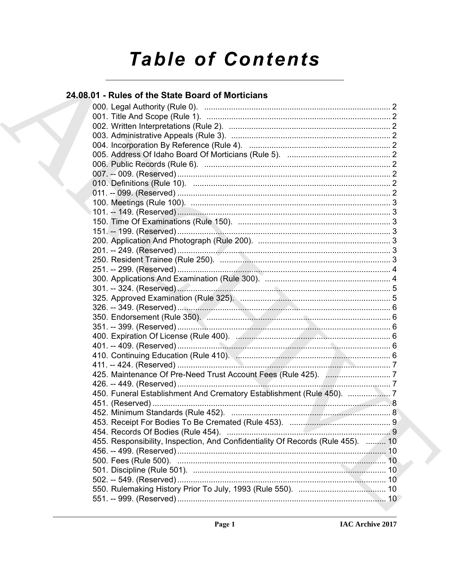# **Table of Contents**

## 24.08.01 - Rules of the State Board of Morticians

| 450. Funeral Establishment And Crematory Establishment (Rule 450).              |  |
|---------------------------------------------------------------------------------|--|
|                                                                                 |  |
|                                                                                 |  |
|                                                                                 |  |
|                                                                                 |  |
| 455. Responsibility, Inspection, And Confidentiality Of Records (Rule 455).  10 |  |
|                                                                                 |  |
|                                                                                 |  |
|                                                                                 |  |
|                                                                                 |  |
|                                                                                 |  |
|                                                                                 |  |
|                                                                                 |  |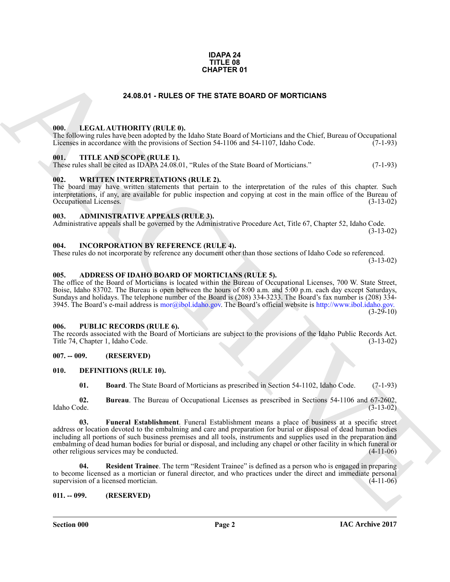#### **IDAPA 24 TITLE 08 CHAPTER 01**

#### **24.08.01 - RULES OF THE STATE BOARD OF MORTICIANS**

#### <span id="page-1-1"></span><span id="page-1-0"></span>**000. LEGAL AUTHORITY (RULE 0).**

The following rules have been adopted by the Idaho State Board of Morticians and the Chief, Bureau of Occupational Licenses in accordance with the provisions of Section 54-1106 and 54-1107, Idaho Code. (7-1-93)

#### <span id="page-1-2"></span>**001. TITLE AND SCOPE (RULE 1).**

These rules shall be cited as IDAPA 24.08.01, "Rules of the State Board of Morticians." (7-1-93)

#### <span id="page-1-3"></span>**002. WRITTEN INTERPRETATIONS (RULE 2).**

The board may have written statements that pertain to the interpretation of the rules of this chapter. Such interpretations, if any, are available for public inspection and copying at cost in the main office of the Bureau of Occupational Licenses. (3-13-02) Occupational Licenses.

#### <span id="page-1-4"></span>**003. ADMINISTRATIVE APPEALS (RULE 3).**

Administrative appeals shall be governed by the Administrative Procedure Act, Title 67, Chapter 52, Idaho Code. (3-13-02)

#### <span id="page-1-5"></span>**004. INCORPORATION BY REFERENCE (RULE 4).**

These rules do not incorporate by reference any document other than those sections of Idaho Code so referenced. (3-13-02)

#### <span id="page-1-6"></span>**005. ADDRESS OF IDAHO BOARD OF MORTICIANS (RULE 5).**

The office of the Board of Morticians is located within the Bureau of Occupational Licenses, 700 W. State Street, Boise, Idaho 83702. The Bureau is open between the hours of 8:00 a.m. and 5:00 p.m. each day except Saturdays, Sundays and holidays. The telephone number of the Board is (208) 334-3233. The Board's fax number is (208) 334- 3945. The Board's e-mail address is mor@ibol.idaho.gov. The Board's official website is http://www.ibol.idaho.gov.  $(3-29-10)$ 

#### <span id="page-1-7"></span>**006. PUBLIC RECORDS (RULE 6).**

The records associated with the Board of Morticians are subject to the provisions of the Idaho Public Records Act.<br>Title 74, Chapter 1, Idaho Code. (3-13-02) Title 74, Chapter 1, Idaho Code.

#### <span id="page-1-8"></span>**007. -- 009. (RESERVED)**

#### <span id="page-1-9"></span>**010. DEFINITIONS (RULE 10).**

<span id="page-1-14"></span><span id="page-1-13"></span><span id="page-1-12"></span><span id="page-1-11"></span>**01. Board**. The State Board of Morticians as prescribed in Section 54-1102, Idaho Code. (7-1-93)

**02. Bureau**. The Bureau of Occupational Licenses as prescribed in Sections 54-1106 and 67-2602, Idaho Code. (3-13-02)

**[CH](mailto:mor@ibol.idaho.gov)APTER 01**<br> **CHARCHIVE CONDUCT (BULLE 0). CHARCHIVE CONDUCT MORTGEADS**<br> **CHARCHIVE CONDUCT (BULLE 0). CHARCHIVE CONDUCT MORTGEADS CONDUCT**<br> **CHARCHIVE CONDUCT AND CONDUCT AT AN ORDER CONDUCT AT A CHARCHIVE CONDUCT A 03. Funeral Establishment**. Funeral Establishment means a place of business at a specific street address or location devoted to the embalming and care and preparation for burial or disposal of dead human bodies including all portions of such business premises and all tools, instruments and supplies used in the preparation and embalming of dead human bodies for burial or disposal, and including any chapel or other facility in which funeral or other religious services may be conducted. (4-11-06) other religious services may be conducted.

<span id="page-1-15"></span>**04. Resident Trainee**. The term "Resident Trainee" is defined as a person who is engaged in preparing to become licensed as a mortician or funeral director, and who practices under the direct and immediate personal supervision of a licensed mortician. (4-11-06) supervision of a licensed mortician.

#### <span id="page-1-10"></span>**011. -- 099. (RESERVED)**

**Section 000 Page 2**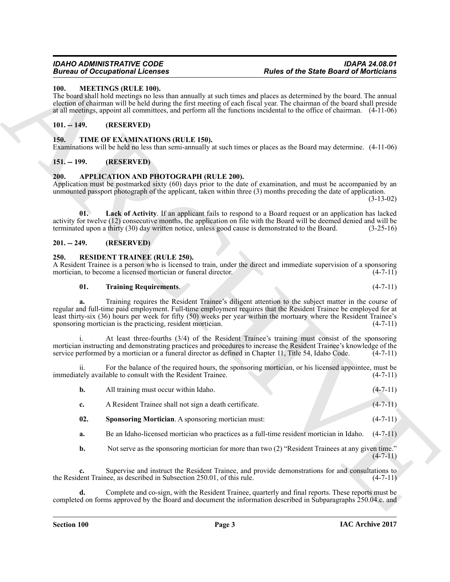#### <span id="page-2-9"></span><span id="page-2-0"></span>**100. MEETINGS (RULE 100).**

The board shall hold meetings no less than annually at such times and places as determined by the board. The annual election of chairman will be held during the first meeting of each fiscal year. The chairman of the board shall preside at all meetings, appoint all committees, and perform all the functions incidental to the office of chairman. (4-11-06)

#### <span id="page-2-1"></span>**101. -- 149. (RESERVED)**

#### <span id="page-2-13"></span><span id="page-2-2"></span>**150. TIME OF EXAMINATIONS (RULE 150).**

Examinations will be held no less than semi-annually at such times or places as the Board may determine. (4-11-06)

#### <span id="page-2-3"></span>**151. -- 199. (RESERVED)**

#### <span id="page-2-7"></span><span id="page-2-4"></span>**200. APPLICATION AND PHOTOGRAPH (RULE 200).**

Application must be postmarked sixty (60) days prior to the date of examination, and must be accompanied by an unmounted passport photograph of the applicant, taken within three (3) months preceding the date of application.

(3-13-02)

<span id="page-2-8"></span>**01. Lack of Activity**. If an applicant fails to respond to a Board request or an application has lacked activity for twelve (12) consecutive months, the application on file with the Board will be deemed denied and will be terminated upon a thirty (30) day written notice, unless good cause is demonstrated to the Board. (3-25-16)

#### <span id="page-2-5"></span>**201. -- 249. (RESERVED)**

#### <span id="page-2-10"></span><span id="page-2-6"></span>**250. RESIDENT TRAINEE (RULE 250).**

A Resident Trainee is a person who is licensed to train, under the direct and immediate supervision of a sponsoring mortician, to become a licensed mortician or funeral director. (4-7-11) mortician, to become a licensed mortician or funeral director.

#### <span id="page-2-12"></span>**01. Training Requirements**. (4-7-11)

**Example 20** Conception of Example 1. Every a smalle since the space of the State Board of Models in the space of the space of the space of the smalle section of the smalle section of the smalle section of the smalle sect **a.** Training requires the Resident Trainee's diligent attention to the subject matter in the course of regular and full-time paid employment. Full-time employment requires that the Resident Trainee be employed for at least thirty-six (36) hours per week for fifty (50) weeks per year within the mortuary where the Resident Trainee's sponsoring mortician is the practicing, resident mortician. (4-7-11)

At least three-fourths (3/4) of the Resident Trainee's training must consist of the sponsoring mortician instructing and demonstrating practices and procedures to increase the Resident Trainee's knowledge of the service performed by a mortician or a funeral director as defined in Chapter 11. Title 54, Idaho Code. (4 service performed by a mortician or a funeral director as defined in Chapter 11, Title 54, Idaho Code.

For the balance of the required hours, the sponsoring mortician, or his licensed appointee, must be lable to consult with the Resident Trainee. (4-7-11) immediately available to consult with the Resident Trainee.

| All training must occur within Idaho.                  | $(4-7-11)$ |
|--------------------------------------------------------|------------|
| A Resident Trainee shall not sign a death certificate. | $(4-7-11)$ |

- <span id="page-2-11"></span>**02. Sponsoring Mortician**. A sponsoring mortician must:  $(4-7-11)$
- **a.** Be an Idaho-licensed mortician who practices as a full-time resident mortician in Idaho.  $(4-7-11)$
- **b.** Not serve as the sponsoring mortician for more than two (2) "Resident Trainees at any given time."  $(4-7-11)$

**c.** Supervise and instruct the Resident Trainee, and provide demonstrations for and consultations to lent Trainee, as described in Subsection 250.01, of this rule. (4-7-11) the Resident Trainee, as described in Subsection 250.01, of this rule.

**d.** Complete and co-sign, with the Resident Trainee, quarterly and final reports. These reports must be completed on forms approved by the Board and document the information described in Subparagraphs 250.04.c. and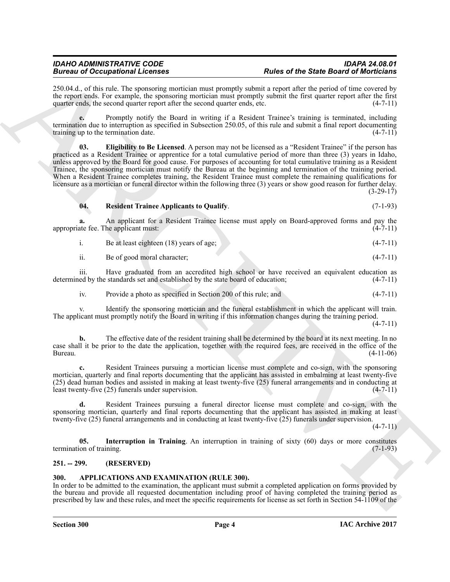250.04.d., of this rule. The sponsoring mortician must promptly submit a report after the period of time covered by the report ends. For example, the sponsoring mortician must promptly submit the first quarter report after the first quarter ends, etc. (4-7-11) quarter ends, the second quarter report after the second quarter ends, etc.

<span id="page-3-3"></span>**e.** Promptly notify the Board in writing if a Resident Trainee's training is terminated, including termination due to interruption as specified in Subsection 250.05, of this rule and submit a final report documenting training up to the termination date. training up to the termination date.

Between Occupation Licenses<br>
SEU and Comparison the materials and performance and the set of SM and Comparison in the set of SM and Comparison in the set of SM and The set of SM and The set of SM and The set of SM and The **03. Eligibility to Be Licensed**. A person may not be licensed as a "Resident Trainee" if the person has practiced as a Resident Trainee or apprentice for a total cumulative period of more than three (3) years in Idaho, unless approved by the Board for good cause. For purposes of accounting for total cumulative training as a Resident Trainee, the sponsoring mortician must notify the Bureau at the beginning and termination of the training period. When a Resident Trainee completes training, the Resident Trainee must complete the remaining qualifications for licensure as a mortician or funeral director within the following three (3) years or show good reason for further delay. (3-29-17)

#### <span id="page-3-5"></span>**04. Resident Trainee Applicants to Qualify**. (7-1-93)

**a.** An applicant for a Resident Trainee license must apply on Board-approved forms and pay the ate fee. The applicant must: (4-7-11) appropriate fee. The applicant must:

i. Be at least eighteen (18) years of age; (4-7-11)

iii. Have graduated from an accredited high school or have received an equivalent education as ed by the standards set and established by the state board of education; (4-7-11) determined by the standards set and established by the state board of education;

iv. Provide a photo as specified in Section 200 of this rule; and (4-7-11)

Identify the sponsoring mortician and the funeral establishment in which the applicant will train. The applicant must promptly notify the Board in writing if this information changes during the training period.

 $(4 - 7 - 11)$ 

**b.** The effective date of the resident training shall be determined by the board at its next meeting. In no case shall it be prior to the date the application, together with the required fees, are received in the office of the Bureau. (4-11-06)

**c.** Resident Trainees pursuing a mortician license must complete and co-sign, with the sponsoring mortician, quarterly and final reports documenting that the applicant has assisted in embalming at least twenty-five (25) dead human bodies and assisted in making at least twenty-five (25) funeral arrangements and in conducting at least twenty-five (25) funerals under supervision. (4-7-11)

**d.** Resident Trainees pursuing a funeral director license must complete and co-sign, with the sponsoring mortician, quarterly and final reports documenting that the applicant has assisted in making at least twenty-five (25) funeral arrangements and in conducting at least twenty-five (25) funerals under supervision.

 $(4 - 7 - 11)$ 

<span id="page-3-4"></span>**05. Interruption in Training**. An interruption in training of sixty (60) days or more constitutes on of training. termination of training.

#### <span id="page-3-0"></span>**251. -- 299. (RESERVED)**

#### <span id="page-3-2"></span><span id="page-3-1"></span>**300. APPLICATIONS AND EXAMINATION (RULE 300).**

In order to be admitted to the examination, the applicant must submit a completed application on forms provided by the bureau and provide all requested documentation including proof of having completed the training period as prescribed by law and these rules, and meet the specific requirements for license as set forth in Section 54-1109 of the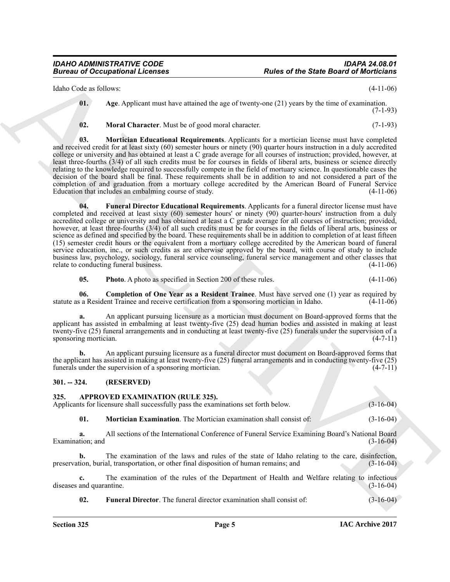Idaho Code as follows: (4-11-06)

<span id="page-4-2"></span>**01. Age**. Applicant must have attained the age of twenty-one (21) years by the time of examination. (7-1-93)

<span id="page-4-6"></span><span id="page-4-5"></span>**02. Moral Character**. Must be of good moral character. (7-1-93)

<span id="page-4-4"></span>**03. Mortician Educational Requirements**. Applicants for a mortician license must have completed and received credit for at least sixty (60) semester hours or ninety (90) quarter hours instruction in a duly accredited college or university and has obtained at least a C grade average for all courses of instruction; provided, however, at least three-fourths (3/4) of all such credits must be for courses in fields of liberal arts, business or science directly relating to the knowledge required to successfully compete in the field of mortuary science. In questionable cases the decision of the board shall be final. These requirements shall be in addition to and not considered a part of the completion of and graduation from a mortuary college accredited by the American Board of Funeral Service Education that includes an embalming course of study. (4-11-06)

Eulies of the Slate Board of Monteix and<br>
blues visit is killed to the Slate Board of Monteix in the Slate Board of Monteix in the Slate Board of Monteix (1-11-8)<br>
12. Mars I. Ange Any Fear man have similar the spectrosco **04. Funeral Director Educational Requirements**. Applicants for a funeral director license must have completed and received at least sixty (60) semester hours' or ninety (90) quarter-hours' instruction from a duly accredited college or university and has obtained at least a C grade average for all courses of instruction; provided, however, at least three-fourths (3/4) of all such credits must be for courses in the fields of liberal arts, business or science as defined and specified by the board. These requirements shall be in addition to completion of at least fifteen (15) semester credit hours or the equivalent from a mortuary college accredited by the American board of funeral service education, inc., or such credits as are otherwise approved by the board, with course of study to include business law, psychology, sociology, funeral service counseling, funeral service management and other classes that relate to conducting funeral business.

<span id="page-4-7"></span><span id="page-4-3"></span>**05.** Photo A photo as specified in Section 200 of these rules.  $(4-11-06)$ 

**06. Completion of One Year as a Resident Trainee**. Must have served one (1) year as required by a Resident Trainee and receive certification from a sponsoring mortician in Idaho. (4-11-06) statute as a Resident Trainee and receive certification from a sponsoring mortician in Idaho.

**a.** An applicant pursuing licensure as a mortician must document on Board-approved forms that the applicant has assisted in embalming at least twenty-five (25) dead human bodies and assisted in making at least twenty-five (25) funeral arrangements and in conducting at least twenty-five (25) funerals under the supervision of a sponsoring mortician. (4-7-11) sponsoring mortician.

**b.** An applicant pursuing licensure as a funeral director must document on Board-approved forms that the applicant has assisted in making at least twenty-five (25) funeral arrangements and in conducting twenty-five (25) funerals under the supervision of a sponsoring mortician. (4-7-11)

#### <span id="page-4-0"></span>**301. -- 324. (RESERVED)**

<span id="page-4-8"></span><span id="page-4-1"></span>**325. APPROVED EXAMINATION (RULE 325).**

Applicants for licensure shall successfully pass the examinations set forth below. (3-16-04)

<span id="page-4-10"></span>**01. Mortician Examination**. The Mortician examination shall consist of: (3-16-04)

**a.** All sections of the International Conference of Funeral Service Examining Board's National Board (3-16-04) Examination; and

**b.** The examination of the laws and rules of the state of Idaho relating to the care, disinfection, preservation, burial, transportation, or other final disposition of human remains; and (3-16-04)

**c.** The examination of the rules of the Department of Health and Welfare relating to infectious and quarantine. (3-16-04) diseases and quarantine.

<span id="page-4-9"></span>**02. Funeral Director**. The funeral director examination shall consist of: (3-16-04)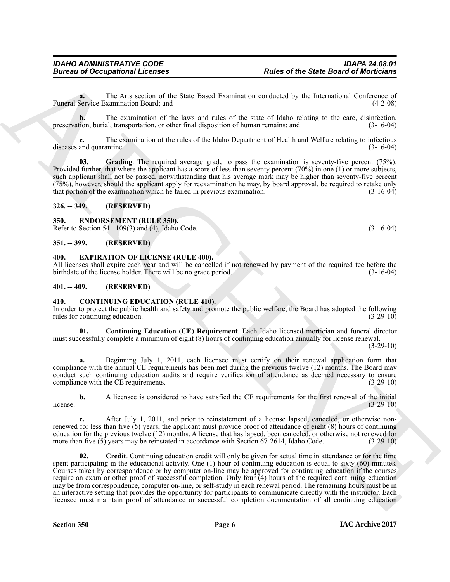**a.** The Arts section of the State Based Examination conducted by the International Conference of Funeral Service Examination Board; and (4-2-08)

**b.** The examination of the laws and rules of the state of Idaho relating to the care, disinfection, preservation, burial, transportation, or other final disposition of human remains; and (3-16-04)

**c.** The examination of the rules of the Idaho Department of Health and Welfare relating to infectious and quarantine. (3-16-04) diseases and quarantine.

<span id="page-5-6"></span>**03.** Grading. The required average grade to pass the examination is seventy-five percent (75%). Provided further, that where the applicant has a score of less than seventy percent (70%) in one (1) or more subjects, such applicant shall not be passed, notwithstanding that his average mark may be higher than seventy-five percent (75%), however, should the applicant apply for reexamination he may, by board approval, be required to retake only that portion of the examination which he failed in previous examination. (3-16-04)

#### <span id="page-5-0"></span>**326. -- 349. (RESERVED)**

#### <span id="page-5-10"></span><span id="page-5-1"></span>**350. ENDORSEMENT (RULE 350).**

Refer to Section 54-1109(3) and (4), Idaho Code. (3-16-04)

<span id="page-5-2"></span>**351. -- 399. (RESERVED)**

#### <span id="page-5-11"></span><span id="page-5-3"></span>**400. EXPIRATION OF LICENSE (RULE 400).**

All licenses shall expire each year and will be cancelled if not renewed by payment of the required fee before the birthdate of the license holder. There will be no grace period. (3-16-04) birthdate of the license holder. There will be no grace period.

#### <span id="page-5-4"></span>**401. -- 409. (RESERVED)**

#### <span id="page-5-7"></span><span id="page-5-5"></span>**410. CONTINUING EDUCATION (RULE 410).**

In order to protect the public health and safety and promote the public welfare, the Board has adopted the following rules for continuing education. (3-29-10) rules for continuing education.

<span id="page-5-8"></span>**01. Continuing Education (CE) Requirement**. Each Idaho licensed mortician and funeral director must successfully complete a minimum of eight (8) hours of continuing education annually for license renewal.

 $(3-29-10)$ 

**a.** Beginning July 1, 2011, each licensee must certify on their renewal application form that compliance with the annual CE requirements has been met during the previous twelve (12) months. The Board may conduct such continuing education audits and require verification of attendance as deemed necessary to ensure<br>compliance with the CE requirements. compliance with the CE requirements.

**b.** A licensee is considered to have satisfied the CE requirements for the first renewal of the initial (3-29-10)  $l$  (3-29-10)  $(3-29-10)$ 

<span id="page-5-9"></span>After July 1, 2011, and prior to reinstatement of a license lapsed, canceled, or otherwise nonrenewed for less than five (5) years, the applicant must provide proof of attendance of eight (8) hours of continuing education for the previous twelve (12) months. A license that has lapsed, been canceled, or otherwise not renewed for more than five (5) years may be reinstated in accordance with Section 67-2614, Idaho Code. (3-29-10) more than five  $(5)$  years may be reinstated in accordance with Section 67-2614, Idaho Code.

**Example of Note of the State Board of Model Constraints control and the State Board of Model Since Constraints and the State Board of Model Since the State Board of the State Constraints of the State Constraints of the S 02. Credit**. Continuing education credit will only be given for actual time in attendance or for the time spent participating in the educational activity. One (1) hour of continuing education is equal to sixty (60) minutes. Courses taken by correspondence or by computer on-line may be approved for continuing education if the courses require an exam or other proof of successful completion. Only four (4) hours of the required continuing education may be from correspondence, computer on-line, or self-study in each renewal period. The remaining hours must be in an interactive setting that provides the opportunity for participants to communicate directly with the instructor. Each licensee must maintain proof of attendance or successful completion documentation of all continuing education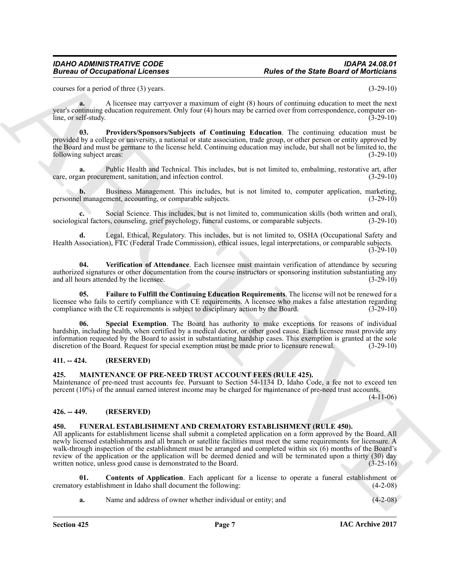#### *IDAHO ADMINISTRATIVE CODE IDAPA 24.08.01 Rules of the State Board of Morticians*

courses for a period of three (3) years. (3-29-10)

**a.** A licensee may carryover a maximum of eight (8) hours of continuing education to meet the next year's continuing education requirement. Only four (4) hours may be carried over from correspondence, computer online, or self-study. (3-29-10)

<span id="page-6-5"></span>**03. Providers/Sponsors/Subjects of Continuing Education**. The continuing education must be provided by a college or university, a national or state association, trade group, or other person or entity approved by the Board and must be germane to the license held. Continuing education may include, but shall not be limited to, the following subject areas: (3-29-10) (3-29-10)

**a.** Public Health and Technical. This includes, but is not limited to, embalming, restorative art, after an procurement, sanitation, and infection control. (3-29-10) care, organ procurement, sanitation, and infection control.

**b.** Business Management. This includes, but is not limited to, computer application, marketing, l management, accounting, or comparable subjects. (3-29-10) personnel management, accounting, or comparable subjects.

**c.** Social Science. This includes, but is not limited to, communication skills (both written and oral), sociological factors, counseling, grief psychology, funeral customs, or comparable subjects. (3-29-10)

**d.** Legal, Ethical, Regulatory. This includes, but is not limited to, OSHA (Occupational Safety and Health Association), FTC (Federal Trade Commission), ethical issues, legal interpretations, or comparable subjects.  $(3-29-10)$ 

<span id="page-6-7"></span>**04. Verification of Attendance**. Each licensee must maintain verification of attendance by securing authorized signatures or other documentation from the course instructors or sponsoring institution substantiating any and all hours attended by the licensee. (3-29-10) and all hours attended by the licensee.

<span id="page-6-4"></span>**05. Failure to Fulfill the Continuing Education Requirements**. The license will not be renewed for a licensee who fails to certify compliance with CE requirements. A licensee who makes a false attestation regarding compliance with the CE requirements is subject to disciplinary action by the Board. (3-29-10) compliance with the CE requirements is subject to disciplinary action by the Board.

<span id="page-6-6"></span>**Special Exemption**. The Board has authority to make exceptions for reasons of individual hardship, including health, when certified by a medical doctor, or other good cause. Each licensee must provide any information requested by the Board to assist in substantiating hardship cases. This exemption is granted at the sole discretion of the Board. Request for special exemption must be made prior to licensure renewal. (3-29-10)

#### <span id="page-6-0"></span>**411. -- 424. (RESERVED)**

#### <span id="page-6-10"></span><span id="page-6-1"></span>**425. MAINTENANCE OF PRE-NEED TRUST ACCOUNT FEES (RULE 425).**

Maintenance of pre-need trust accounts fee. Pursuant to Section 54-1134 D, Idaho Code, a fee not to exceed ten percent (10%) of the annual earned interest income may be charged for maintenance of pre-need trust accounts. (4-11-06)

#### <span id="page-6-2"></span>**426. -- 449. (RESERVED)**

#### <span id="page-6-8"></span><span id="page-6-3"></span>**450. FUNERAL ESTABLISHMENT AND CREMATORY ESTABLISHMENT (RULE 450).**

Forces of Decomprisons of Licenses<br>
Sources of the State Board of Moritisms<br>
Notes of the State Board of Moritisms<br>
Notes of the State Board of Morels (1982)<br>
1983, Alliance A. Forces was carrotted a position of eight (4) All applicants for establishment license shall submit a completed application on a form approved by the Board. All newly licensed establishments and all branch or satellite facilities must meet the same requirements for licensure. A walk-through inspection of the establishment must be arranged and completed within six (6) months of the Board's review of the application or the application will be deemed denied and will be terminated upon a thirty (30) day written notice, unless good cause is demonstrated to the Board. (3-25-16)

**01.** Contents of Application. Each applicant for a license to operate a funeral establishment or y establishment in Idaho shall document the following: (4-2-08) crematory establishment in Idaho shall document the following:

<span id="page-6-9"></span>**a.** Name and address of owner whether individual or entity; and  $(4-2-08)$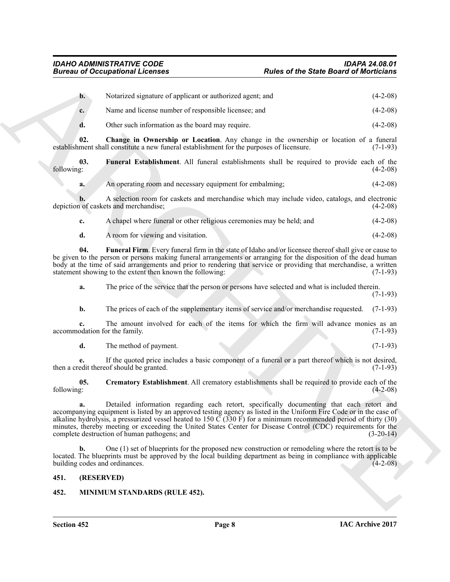|                                                                                                                                                       | <b>Bureau of Occupational Licenses</b>                                                                                                                                                                                                                                                                                                                                                                                                                                                                           | <b>Rules of the State Board of Morticians</b> |             |
|-------------------------------------------------------------------------------------------------------------------------------------------------------|------------------------------------------------------------------------------------------------------------------------------------------------------------------------------------------------------------------------------------------------------------------------------------------------------------------------------------------------------------------------------------------------------------------------------------------------------------------------------------------------------------------|-----------------------------------------------|-------------|
| $\mathbf{b}$ .                                                                                                                                        | Notarized signature of applicant or authorized agent; and                                                                                                                                                                                                                                                                                                                                                                                                                                                        |                                               | $(4-2-08)$  |
| c.                                                                                                                                                    | Name and license number of responsible licensee; and                                                                                                                                                                                                                                                                                                                                                                                                                                                             |                                               | $(4-2-08)$  |
| d.                                                                                                                                                    | Other such information as the board may require.                                                                                                                                                                                                                                                                                                                                                                                                                                                                 |                                               | $(4-2-08)$  |
| 02.                                                                                                                                                   | Change in Ownership or Location. Any change in the ownership or location of a funeral<br>establishment shall constitute a new funeral establishment for the purposes of licensure.                                                                                                                                                                                                                                                                                                                               |                                               | $(7-1-93)$  |
| 03.<br>following:                                                                                                                                     | Funeral Establishment. All funeral establishments shall be required to provide each of the                                                                                                                                                                                                                                                                                                                                                                                                                       |                                               | $(4-2-08)$  |
| a.                                                                                                                                                    | An operating room and necessary equipment for embalming;                                                                                                                                                                                                                                                                                                                                                                                                                                                         |                                               | $(4-2-08)$  |
|                                                                                                                                                       | A selection room for caskets and merchandise which may include video, catalogs, and electronic<br>depiction of caskets and merchandise;                                                                                                                                                                                                                                                                                                                                                                          |                                               | $(4-2-08)$  |
| c.                                                                                                                                                    | A chapel where funeral or other religious ceremonies may be held; and                                                                                                                                                                                                                                                                                                                                                                                                                                            |                                               | $(4-2-08)$  |
| d.                                                                                                                                                    | A room for viewing and visitation.                                                                                                                                                                                                                                                                                                                                                                                                                                                                               |                                               | $(4-2-08)$  |
| 04.                                                                                                                                                   | Funeral Firm. Every funeral firm in the state of Idaho and/or licensee thereof shall give or cause to<br>be given to the person or persons making funeral arrangements or arranging for the disposition of the dead human<br>body at the time of said arrangements and prior to rendering that service or providing that merchandise, a written<br>statement showing to the extent then known the following:                                                                                                     |                                               | $(7-1-93)$  |
| a.                                                                                                                                                    | The price of the service that the person or persons have selected and what is included therein.                                                                                                                                                                                                                                                                                                                                                                                                                  |                                               | $(7-1-93)$  |
| b.                                                                                                                                                    | The prices of each of the supplementary items of service and/or merchandise requested.                                                                                                                                                                                                                                                                                                                                                                                                                           |                                               | $(7-1-93)$  |
| c.                                                                                                                                                    | The amount involved for each of the items for which the firm will advance monies as an<br>accommodation for the family.                                                                                                                                                                                                                                                                                                                                                                                          |                                               | $(7-1-93)$  |
| d.                                                                                                                                                    | The method of payment.                                                                                                                                                                                                                                                                                                                                                                                                                                                                                           |                                               | $(7-1-93)$  |
| If the quoted price includes a basic component of a funeral or a part thereof which is not desired,<br>е.<br>then a credit thereof should be granted. |                                                                                                                                                                                                                                                                                                                                                                                                                                                                                                                  |                                               | $(7-1-93)$  |
| 05.<br>following:                                                                                                                                     | Crematory Establishment. All crematory establishments shall be required to provide each of the                                                                                                                                                                                                                                                                                                                                                                                                                   |                                               | $(4-2-08)$  |
| a.                                                                                                                                                    | Detailed information regarding each retort, specifically documenting that each retort and<br>accompanying equipment is listed by an approved testing agency as listed in the Uniform Fire Code or in the case of<br>alkaline hydrolysis, a pressurized vessel heated to 150 $\check{C}$ (330 F) for a minimum recommended period of thirty (30)<br>minutes, thereby meeting or exceeding the United States Center for Disease Control (CDC) requirements for the<br>complete destruction of human pathogens; and |                                               | $(3-20-14)$ |
| $\mathbf{b}$ .                                                                                                                                        | One (1) set of blueprints for the proposed new construction or remodeling where the retort is to be<br>located. The blueprints must be approved by the local building department as being in compliance with applicable<br>building codes and ordinances.                                                                                                                                                                                                                                                        |                                               | $(4-2-08)$  |
| 451.                                                                                                                                                  | (RESERVED)                                                                                                                                                                                                                                                                                                                                                                                                                                                                                                       |                                               |             |
|                                                                                                                                                       | MINIMUM STANDARDS (RULE 452).                                                                                                                                                                                                                                                                                                                                                                                                                                                                                    |                                               |             |

<span id="page-7-5"></span><span id="page-7-4"></span><span id="page-7-2"></span>

|  |  | A chapel where funeral or other religious ceremonies may be held; and |  |  | $(4-2-08)$ |
|--|--|-----------------------------------------------------------------------|--|--|------------|
|--|--|-----------------------------------------------------------------------|--|--|------------|

#### <span id="page-7-3"></span><span id="page-7-0"></span>**451. (RESERVED)**

## <span id="page-7-6"></span><span id="page-7-1"></span>**452. MINIMUM STANDARDS (RULE 452).**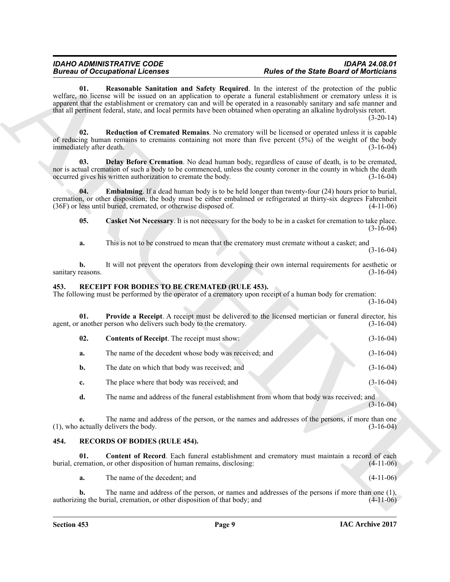#### <span id="page-8-6"></span><span id="page-8-5"></span><span id="page-8-3"></span>*IDAHO ADMINISTRATIVE CODE IDAPA 24.08.01 Rules of the State Board of Morticians*

### <span id="page-8-9"></span><span id="page-8-8"></span><span id="page-8-7"></span><span id="page-8-4"></span><span id="page-8-2"></span><span id="page-8-0"></span>**453. RECEIPT FOR BODIES TO BE CREMATED (RULE 453).**

|                                 | <b>Bureau of Occupational Licenses</b>                                    | <b>Rules of the State Board of Morticians</b>                                                                                                                                                                                                                                                                                                                                                                                                                                        |  |
|---------------------------------|---------------------------------------------------------------------------|--------------------------------------------------------------------------------------------------------------------------------------------------------------------------------------------------------------------------------------------------------------------------------------------------------------------------------------------------------------------------------------------------------------------------------------------------------------------------------------|--|
| 01.                             |                                                                           | <b>Reasonable Sanitation and Safety Required.</b> In the interest of the protection of the public<br>welfare, no license will be issued on an application to operate a funeral establishment or crematory unless it is<br>apparent that the establishment or crematory can and will be operated in a reasonably sanitary and safe manner and<br>that all pertinent federal, state, and local permits have been obtained when operating an alkaline hydrolysis retort.<br>$(3-20-14)$ |  |
| 02.<br>immediately after death. |                                                                           | <b>Reduction of Cremated Remains.</b> No crematory will be licensed or operated unless it is capable<br>of reducing human remains to cremains containing not more than five percent (5%) of the weight of the body<br>$(3-16-04)$                                                                                                                                                                                                                                                    |  |
| 03.                             | occurred gives his written authorization to cremate the body.             | Delay Before Cremation. No dead human body, regardless of cause of death, is to be cremated,<br>nor is actual cremation of such a body to be commenced, unless the county coroner in the county in which the death<br>$(3-16-04)$                                                                                                                                                                                                                                                    |  |
| 04.                             | (36F) or less until buried, cremated, or otherwise disposed of.           | <b>Embalming</b> . If a dead human body is to be held longer than twenty-four (24) hours prior to burial,<br>cremation, or other disposition, the body must be either embalmed or refrigerated at thirty-six degrees Fahrenheit<br>$(4-11-06)$                                                                                                                                                                                                                                       |  |
| 05.                             |                                                                           | <b>Casket Not Necessary</b> . It is not necessary for the body to be in a casket for cremation to take place.<br>$(3-16-04)$                                                                                                                                                                                                                                                                                                                                                         |  |
| a.                              |                                                                           | This is not to be construed to mean that the crematory must cremate without a casket; and<br>$(3-16-04)$                                                                                                                                                                                                                                                                                                                                                                             |  |
| b.<br>sanitary reasons.         |                                                                           | It will not prevent the operators from developing their own internal requirements for aesthetic or<br>$(3-16-04)$                                                                                                                                                                                                                                                                                                                                                                    |  |
| 453.                            | RECEIPT FOR BODIES TO BE CREMATED (RULE 453).                             | The following must be performed by the operator of a crematory upon receipt of a human body for cremation:<br>$(3-16-04)$                                                                                                                                                                                                                                                                                                                                                            |  |
| 01.                             | agent, or another person who delivers such body to the crematory.         | <b>Provide a Receipt</b> . A receipt must be delivered to the licensed mortician or funeral director, his<br>$(3-16-04)$                                                                                                                                                                                                                                                                                                                                                             |  |
| 02.                             | <b>Contents of Receipt.</b> The receipt must show:                        | $(3-16-04)$                                                                                                                                                                                                                                                                                                                                                                                                                                                                          |  |
| a.                              | The name of the decedent whose body was received; and                     | $(3-16-04)$                                                                                                                                                                                                                                                                                                                                                                                                                                                                          |  |
| b.                              | The date on which that body was received; and                             | $(3-16-04)$                                                                                                                                                                                                                                                                                                                                                                                                                                                                          |  |
| c.                              | The place where that body was received; and                               | $(3-16-04)$                                                                                                                                                                                                                                                                                                                                                                                                                                                                          |  |
| d.                              |                                                                           | The name and address of the funeral establishment from whom that body was received; and<br>$(3-16-04)$                                                                                                                                                                                                                                                                                                                                                                               |  |
| e.                              | (1), who actually delivers the body.                                      | The name and address of the person, or the names and addresses of the persons, if more than one<br>$(3-16-04)$                                                                                                                                                                                                                                                                                                                                                                       |  |
| 454.                            | <b>RECORDS OF BODIES (RULE 454).</b>                                      |                                                                                                                                                                                                                                                                                                                                                                                                                                                                                      |  |
| 01.                             | burial, cremation, or other disposition of human remains, disclosing:     | Content of Record. Each funeral establishment and crematory must maintain a record of each<br>$(4-11-06)$                                                                                                                                                                                                                                                                                                                                                                            |  |
| a.                              | The name of the decedent; and                                             | $(4-11-06)$                                                                                                                                                                                                                                                                                                                                                                                                                                                                          |  |
| b.                              | authorizing the burial, cremation, or other disposition of that body; and | The name and address of the person, or names and addresses of the persons if more than one (1),<br>$(4-11-06)$                                                                                                                                                                                                                                                                                                                                                                       |  |

#### <span id="page-8-11"></span><span id="page-8-10"></span><span id="page-8-1"></span>**454. RECORDS OF BODIES (RULE 454).**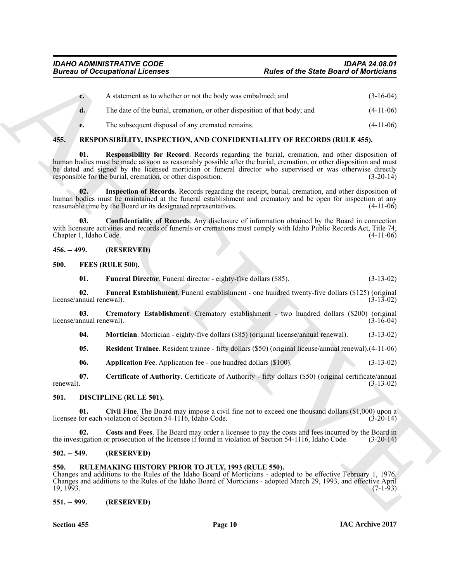| $c_{\cdot}$    | A statement as to whether or not the body was embalmed; and               | $(3-16-04)$ |
|----------------|---------------------------------------------------------------------------|-------------|
| $\mathbf{d}$ . | The date of the burial, cremation, or other disposition of that body; and | $(4-11-06)$ |
| e.             | The subsequent disposal of any cremated remains.                          | $(4-11-06)$ |

## <span id="page-9-21"></span><span id="page-9-18"></span><span id="page-9-0"></span>**455. RESPONSIBILITY, INSPECTION, AND CONFIDENTIALITY OF RECORDS (RULE 455).**

**Example 20** Conceptions **C** Assume the strain of the strain of the strain of Model Conceptions ( $\mu$  1.148)<br>
4. A distinction is to be shown of the both properties and<br>
4. The strain conceptibility for Recent Recent segm **Responsibility for Record.** Records regarding the burial, cremation, and other disposition of human bodies must be made as soon as reasonably possible after the burial, cremation, or other disposition and must be dated and signed by the licensed mortician or funeral director who supervised or was otherwise directly responsible for the burial cremation, or other disposition. (3-20-14) responsible for the burial, cremation, or other disposition.

<span id="page-9-20"></span>**02. Inspection of Records**. Records regarding the receipt, burial, cremation, and other disposition of human bodies must be maintained at the funeral establishment and crematory and be open for inspection at any reasonable time by the Board or its designated representatives. (4-11-06) reasonable time by the Board or its designated representatives.

<span id="page-9-19"></span>**03. Confidentiality of Records**. Any disclosure of information obtained by the Board in connection with licensure activities and records of funerals or cremations must comply with Idaho Public Records Act, Title 74,<br>Chapter 1, Idaho Code. (4-11-06) Chapter 1, Idaho Code.

#### <span id="page-9-1"></span>**456. -- 499. (RESERVED)**

#### <span id="page-9-2"></span>**500. FEES (RULE 500).**

<span id="page-9-15"></span><span id="page-9-14"></span><span id="page-9-10"></span>**01. Funeral Director**. Funeral director - eighty-five dollars (\$85). (3-13-02)

**02. Funeral Establishment**. Funeral establishment - one hundred twenty-five dollars (\$125) (original license/annual renewal).

**03. Crematory Establishment**. Crematory establishment - two hundred dollars (\$200) (original license/annual renewal).

<span id="page-9-16"></span><span id="page-9-13"></span>**04.** Mortician. Mortician - eighty-five dollars (\$85) (original license/annual renewal). (3-13-02)

<span id="page-9-17"></span>**05. Resident Trainee**. Resident trainee - fifty dollars (\$50) (original license/annual renewal).(4-11-06)

<span id="page-9-12"></span><span id="page-9-11"></span><span id="page-9-8"></span>**06. Application Fee**. Application fee - one hundred dollars (\$100). (3-13-02)

**07.** Certificate of Authority. Certificate of Authority - fifty dollars (\$50) (original certificate/annual renewal). (3-13-02) renewal).  $(3-13-02)$ 

#### <span id="page-9-7"></span><span id="page-9-3"></span>**501. DISCIPLINE (RULE 501).**

**01. Civil Fine**. The Board may impose a civil fine not to exceed one thousand dollars (\$1,000) upon a licensee for each violation of Section 54-1116, Idaho Code.

<span id="page-9-9"></span>**Costs and Fees**. The Board may order a licensee to pay the costs and fees incurred by the Board in or prosecution of the licensee if found in violation of Section 54-1116, Idaho Code. (3-20-14) the investigation or prosecution of the licensee if found in violation of Section 54-1116, Idaho Code.

#### <span id="page-9-4"></span>**502. -- 549. (RESERVED)**

#### <span id="page-9-5"></span>**550. RULEMAKING HISTORY PRIOR TO JULY, 1993 (RULE 550).**

Changes and additions to the Rules of the Idaho Board of Morticians - adopted to be effective February 1, 1976. Changes and additions to the Rules of the Idaho Board of Morticians - adopted March 29, 1993, and effective April  $19, 1993.$  (7-1-93)

#### <span id="page-9-6"></span>**551. -- 999. (RESERVED)**